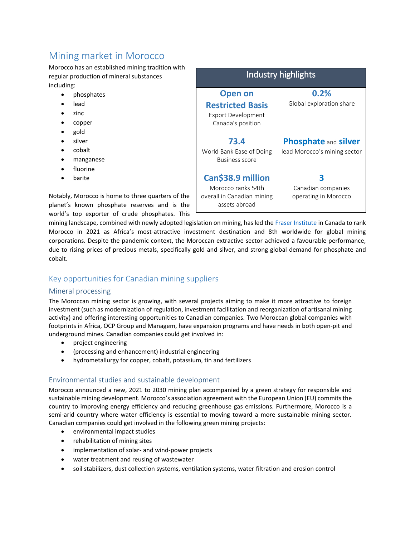# Mining market in Morocco

Morocco has an established mining tradition with regular production of mineral substances including:

- phosphates
- lead
- zinc
- copper
- $\bullet$  gold
- silver
- cobalt
- manganese
- fluorine
- barite

Notably, Morocco is home to three quarters of the planet's known phosphate reserves and is the world's top exporter of crude phosphates. This

| Industry highlights                                                                    |                                                             |
|----------------------------------------------------------------------------------------|-------------------------------------------------------------|
| <b>Open on</b><br><b>Restricted Basis</b><br>Export Development<br>Canada's position   | 0.2%<br>Global exploration share                            |
| 73.4<br>World Bank Ease of Doing<br><b>Business score</b>                              | <b>Phosphate and silver</b><br>lead Morocco's mining sector |
| Can\$38.9 million<br>Morocco ranks 54th<br>overall in Canadian mining<br>assets abroad | Canadian companies<br>operating in Morocco                  |

mining landscape, combined with newly adopted legislation on mining, has led the [Fraser Institute](https://www.fraserinstitute.org/studies/annual-survey-of-mining-companies-2021) in Canada to rank Morocco in 2021 as Africa's most-attractive investment destination and 8th worldwide for global mining corporations. Despite the pandemic context, the Moroccan extractive sector achieved a favourable performance, due to rising prices of precious metals, specifically gold and silver, and strong global demand for phosphate and cobalt.

# Key opportunities for Canadian mining suppliers

#### Mineral processing

The Moroccan mining sector is growing, with several projects aiming to make it more attractive to foreign investment (such as modernization of regulation, investment facilitation and reorganization of artisanal mining activity) and offering interesting opportunities to Canadian companies. Two Moroccan global companies with footprints in Africa, OCP Group and Managem, have expansion programs and have needs in both open-pit and underground mines. Canadian companies could get involved in:

- project engineering
- (processing and enhancement) industrial engineering
- hydrometallurgy for copper, cobalt, potassium, tin and fertilizers

## Environmental studies and sustainable development

Morocco announced a new, 2021 to 2030 mining plan accompanied by a green strategy for responsible and sustainable mining development. Morocco's association agreement with the European Union (EU) commits the country to improving energy efficiency and reducing greenhouse gas emissions. Furthermore, Morocco is a semi-arid country where water efficiency is essential to moving toward a more sustainable mining sector. Canadian companies could get involved in the following green mining projects:

- environmental impact studies
- rehabilitation of mining sites
- implementation of solar- and wind-power projects
- water treatment and reusing of wastewater
- soil stabilizers, dust collection systems, ventilation systems, water filtration and erosion control